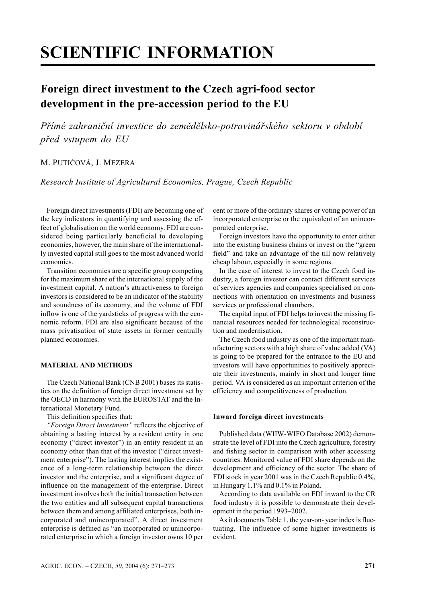# **SCIENTIFIC INFORMATION**

# **Foreign direct investment to the Czech agri-food sector development in the pre-accession period to the EU**

*Přímé zahraniční investice do zemědělsko-potravinářského sektoru v období před vstupem do EU*

# M. PUTIĆOVÁ, J. MEZERA

*Research Institute of Agricultural Economics, Prague, Czech Republic*

Foreign direct investments (FDI) are becoming one of the key indicators in quantifying and assessing the effect of globalisation on the world economy. FDI are considered being particularly beneficial to developing economies, however, the main share of the internationally invested capital still goes to the most advanced world economies.

Transition economies are a specific group competing for the maximum share of the international supply of the investment capital. A nation's attractiveness to foreign investors is considered to be an indicator of the stability and soundness of its economy, and the volume of FDI inflow is one of the yardsticks of progress with the economic reform. FDI are also significant because of the mass privatisation of state assets in former centrally planned economies.

## **MATERIAL AND METHODS**

The Czech National Bank (CNB 2001) bases its statistics on the definition of foreign direct investment set by the OECD in harmony with the EUROSTAT and the International Monetary Fund.

This definition specifies that:

*"Foreign Direct Investment"* reflects the objective of obtaining a lasting interest by a resident entity in one economy ("direct investor") in an entity resident in an economy other than that of the investor ("direct investment enterprise"). The lasting interest implies the existence of a long-term relationship between the direct investor and the enterprise, and a significant degree of influence on the management of the enterprise. Direct investment involves both the initial transaction between the two entities and all subsequent capital transactions between them and among affiliated enterprises, both incorporated and unincorporated". A direct investment enterprise is defined as "an incorporated or unincorporated enterprise in which a foreign investor owns 10 per

cent or more of the ordinary shares or voting power of an incorporated enterprise or the equivalent of an unincorporated enterprise.

Foreign investors have the opportunity to enter either into the existing business chains or invest on the "green field" and take an advantage of the till now relatively cheap labour, especially in some regions.

In the case of interest to invest to the Czech food industry, a foreign investor can contact different services of services agencies and companies specialised on connections with orientation on investments and business services or professional chambers.

The capital input of FDI helps to invest the missing financial resources needed for technological reconstruction and modernisation.

The Czech food industry as one of the important manufacturing sectors with a high share of value added (VA) is going to be prepared for the entrance to the EU and investors will have opportunities to positively appreciate their investments, mainly in short and longer time period. VA is considered as an important criterion of the efficiency and competitiveness of production.

#### **Inward foreign direct investments**

Published data (WIIW-WIFO Database 2002) demonstrate the level of FDI into the Czech agriculture, forestry and fishing sector in comparison with other accessing countries. Monitored value of FDI share depends on the development and efficiency of the sector. The share of FDI stock in year 2001 was in the Czech Republic 0.4%, in Hungary 1.1% and 0.1% in Poland.

According to data available on FDI inward to the CR food industry it is possible to demonstrate their development in the period 1993–2002.

As it documents Table 1, the year-on- year index is fluctuating. The influence of some higher investments is evident.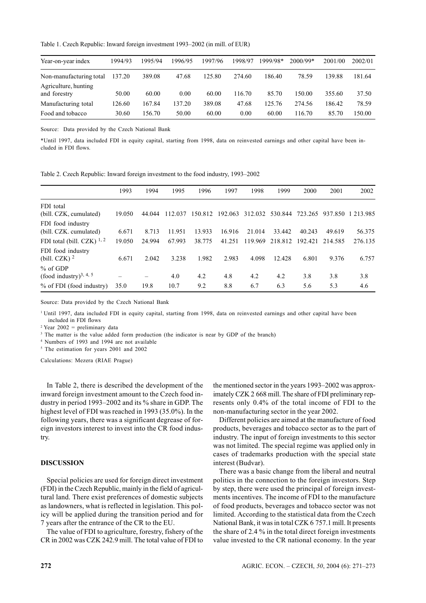Table 1. Czech Republic: Inward foreign investment 1993–2002 (in mill. of EUR)

| Year-on-year index                   | 1994/93 | 1995/94 | 1996/95 | 1997/96 | 1998/97 | 1999/98* | $2000/99*$ | 2001/00 | 2002/01 |
|--------------------------------------|---------|---------|---------|---------|---------|----------|------------|---------|---------|
| Non-manufacturing total              | 137.20  | 389.08  | 47.68   | 125.80  | 274.60  | 186.40   | 78.59      | 139.88  | 181.64  |
| Agriculture, hunting<br>and forestry | 50.00   | 60.00   | 0.00    | 60.00   | 116.70  | 85.70    | 150.00     | 355.60  | 37.50   |
| Manufacturing total                  | 126.60  | 167.84  | 137.20  | 389.08  | 47.68   | 125.76   | 274.56     | 186.42  | 78.59   |
| Food and tobacco                     | 30.60   | 156.70  | 50.00   | 60.00   | 0.00    | 60.00    | 116.70     | 85.70   | 150.00  |

Source: Data provided by the Czech National Bank

\*Until 1997, data included FDI in equity capital, starting from 1998, data on reinvested earnings and other capital have been included in FDI flows.

Table 2. Czech Republic: Inward foreign investment to the food industry, 1993–2002

|                                    | 1993   | 1994   | 1995        | 1996    | 1997    | 1998    | 1999    | 2000    | 2001    | 2002          |
|------------------------------------|--------|--------|-------------|---------|---------|---------|---------|---------|---------|---------------|
| FDI total                          |        |        |             |         |         |         |         |         |         |               |
| (bill. CZK, cumulated)             | 19.050 | 44.044 | .037<br>112 | 150.812 | 192.063 | 312.032 | 530.844 | 723.265 | 937.850 | 1 2 1 3 9 8 5 |
| FDI food industry                  |        |        |             |         |         |         |         |         |         |               |
| (bill. CZK. cumulated)             | 6.671  | 8.713  | 11.951      | 13.933  | 16.916  | 21.014  | 33.442  | 40.243  | 49.619  | 56.375        |
| FDI total (bill. CZK) $^{1, 2}$    | 19.050 | 24.994 | 67.993      | 38.775  | 41.251  | 119.969 | 218.812 | 192.421 | 214 585 | 276.135       |
| FDI food industry                  |        |        |             |         |         |         |         |         |         |               |
| (bill. CZK) $^2$                   | 6.671  | 2.042  | 3.238       | 1.982   | 2.983   | 4.098   | 12.428  | 6.801   | 9.376   | 6.757         |
| $%$ of GDP                         |        |        |             |         |         |         |         |         |         |               |
| (food industry) <sup>3, 4, 5</sup> |        |        | 4.0         | 4.2     | 4.8     | 4.2     | 4.2     | 3.8     | 3.8     | 3.8           |
| % of FDI (food industry)           | 35.0   | 19.8   | 10.7        | 9.2     | 8.8     | 6.7     | 6.3     | 5.6     | 5.3     | 4.6           |

Source: Data provided by the Czech National Bank

<sup>1</sup> Until 1997, data included FDI in equity capital, starting from 1998, data on reinvested earnings and other capital have been included in FDI flows

 $2$  Year 2002 = preliminary data

<sup>3</sup> The matter is the value added form production (the indicator is near by GDP of the branch)

4 Numbers of 1993 and 1994 are not available

<sup>5</sup> The estimation for years 2001 and 2002

Calculations: Mezera (RIAE Prague)

In Table 2, there is described the development of the inward foreign investment amount to the Czech food industry in period 1993–2002 and its % share in GDP. The highest level of FDI was reached in 1993 (35.0%). In the following years, there was a significant degrease of foreign investors interest to invest into the CR food industry.

#### **DISCUSSION**

Special policies are used for foreign direct investment (FDI) in the Czech Republic, mainly in the field of agricultural land. There exist preferences of domestic subjects as landowners, what is reflected in legislation. This policy will be applied during the transition period and for 7 years after the entrance of the CR to the EU.

The value of FDI to agriculture, forestry, fishery of the CR in 2002 was CZK 242.9 mill. The total value of FDI to the mentioned sector in the years 1993–2002 was approximately CZK 2 668 mill. The share of FDI preliminary represents only 0.4% of the total income of FDI to the non-manufacturing sector in the year 2002.

Different policies are aimed at the manufacture of food products, beverages and tobacco sector as to the part of industry. The input of foreign investments to this sector was not limited. The special regime was applied only in cases of trademarks production with the special state interest (Budvar).

There was a basic change from the liberal and neutral politics in the connection to the foreign investors. Step by step, there were used the principal of foreign investments incentives. The income of FDI to the manufacture of food products, beverages and tobacco sector was not limited. According to the statistical data from the Czech National Bank, it was in total CZK 6 757.1 mill. It presents the share of 2.4 % in the total direct foreign investments value invested to the CR national economy. In the year